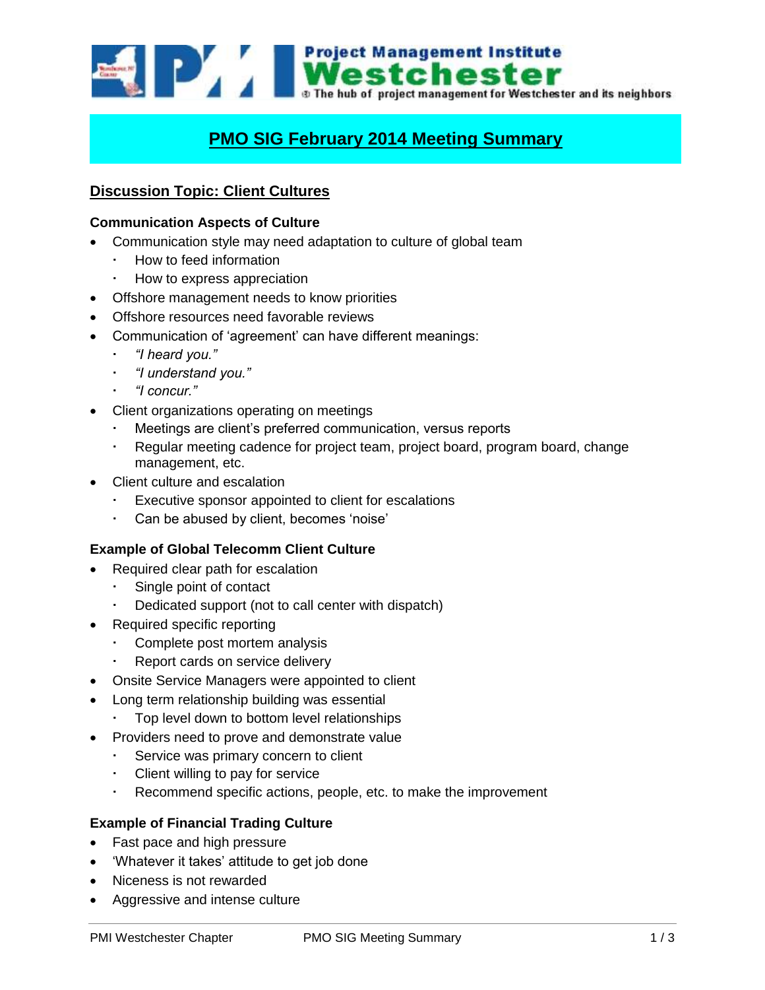

# **PMO SIG February 2014 Meeting Summary**

## **Discussion Topic: Client Cultures**

#### **Communication Aspects of Culture**

- Communication style may need adaptation to culture of global team
	- How to feed information
	- How to express appreciation
- Offshore management needs to know priorities
- Offshore resources need favorable reviews
- Communication of 'agreement' can have different meanings:
	- *"I heard you."*
	- *"I understand you."*
	- *"I concur."*
- Client organizations operating on meetings
	- Meetings are client's preferred communication, versus reports
	- Regular meeting cadence for project team, project board, program board, change management, etc.
- Client culture and escalation
	- Executive sponsor appointed to client for escalations
	- Can be abused by client, becomes 'noise'

#### **Example of Global Telecomm Client Culture**

- Required clear path for escalation
	- Single point of contact
	- Dedicated support (not to call center with dispatch)
- Required specific reporting
	- Complete post mortem analysis
	- Report cards on service delivery
- Onsite Service Managers were appointed to client
- Long term relationship building was essential
	- Top level down to bottom level relationships
- Providers need to prove and demonstrate value
	- Service was primary concern to client
	- Client willing to pay for service
	- Recommend specific actions, people, etc. to make the improvement

#### **Example of Financial Trading Culture**

- Fast pace and high pressure
- 'Whatever it takes' attitude to get job done
- Niceness is not rewarded
- Aggressive and intense culture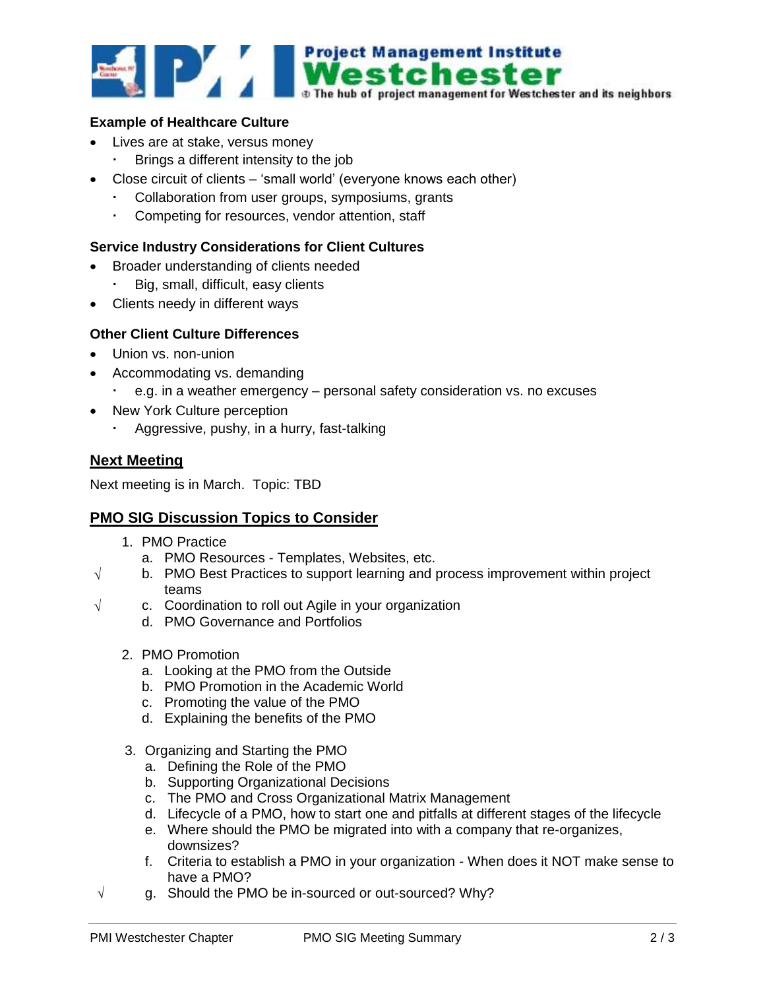

#### **Example of Healthcare Culture**

- Lives are at stake, versus money
	- Brings a different intensity to the job
- Close circuit of clients 'small world' (everyone knows each other)
	- Collaboration from user groups, symposiums, grants
	- Competing for resources, vendor attention, staff

#### **Service Industry Considerations for Client Cultures**

- Broader understanding of clients needed
	- Big, small, difficult, easy clients
- Clients needy in different ways

### **Other Client Culture Differences**

- Union vs. non-union
- Accommodating vs. demanding
	- e.g. in a weather emergency personal safety consideration vs. no excuses
- New York Culture perception
	- Aggressive, pushy, in a hurry, fast-talking

## **Next Meeting**

Next meeting is in March. Topic: TBD

## **PMO SIG Discussion Topics to Consider**

- 1. PMO Practice
	- a. PMO Resources Templates, Websites, etc.
- $\sqrt{\phantom{a}}$  b. PMO Best Practices to support learning and process improvement within project teams
- $\sqrt{ }$  c. Coordination to roll out Agile in your organization
	- d. PMO Governance and Portfolios
	- 2. PMO Promotion
		- a. Looking at the PMO from the Outside
		- b. PMO Promotion in the Academic World
		- c. Promoting the value of the PMO
		- d. Explaining the benefits of the PMO
	- 3. Organizing and Starting the PMO
		- a. Defining the Role of the PMO
		- b. Supporting Organizational Decisions
		- c. The PMO and Cross Organizational Matrix Management
		- d. Lifecycle of a PMO, how to start one and pitfalls at different stages of the lifecycle
		- e. Where should the PMO be migrated into with a company that re-organizes, downsizes?
		- f. Criteria to establish a PMO in your organization When does it NOT make sense to have a PMO?
- $\sqrt{q}$  g. Should the PMO be in-sourced or out-sourced? Why?